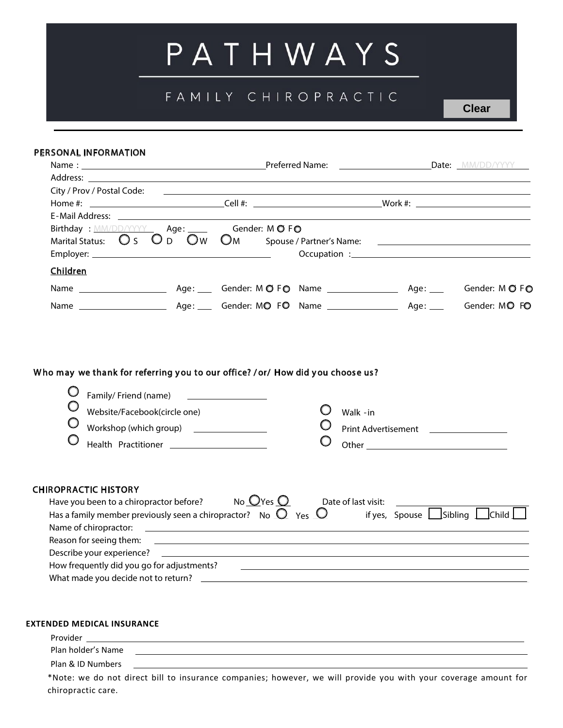# PATHWAYS

# FAMILY CHIROPRACTIC

#### PERSONAL INFORMATION

| Birthday : MM/DD/YYYY Age: Gender: MOFO   |               |                         |  |                    |
|-------------------------------------------|---------------|-------------------------|--|--------------------|
| Marital Status: $\bigcirc$ S $\bigcirc$ D | $\mathsf{Ow}$ |                         |  |                    |
|                                           |               |                         |  |                    |
| Children                                  |               |                         |  |                    |
|                                           |               |                         |  |                    |
|                                           |               | Age: Gender: MO FO Name |  | Age: Gender: MO FO |

## Who may we thank for referring you to our office? /or/ How did you choose us?

| Website/Facebook(circle one)<br>Workshop (which group) _________________<br>Health Practitioner                                                                                                                                                                              | Walk - in<br>Print Advertisement                     |
|------------------------------------------------------------------------------------------------------------------------------------------------------------------------------------------------------------------------------------------------------------------------------|------------------------------------------------------|
| <b>CHIROPRACTIC HISTORY</b><br>No $Q$ Yes $Q$<br>Have you been to a chiropractor before?<br>Has a family member previously seen a chiropractor? No $\bigcirc$ Yes $\bigcirc$<br>Name of chiropractor:<br><u> 1980 - Andrea Station Barbara, amerikan personal (h. 1980).</u> | Date of last visit:<br>if yes, Spouse Sibling Schild |
| Reason for seeing them:                                                                                                                                                                                                                                                      |                                                      |
| How frequently did you go for adjustments?                                                                                                                                                                                                                                   |                                                      |
| What made you decide not to return?                                                                                                                                                                                                                                          |                                                      |

#### **EXTENDED MEDICAL INSURANCE**

chiropractic care.

| Provider           |                                                                                                                 |
|--------------------|-----------------------------------------------------------------------------------------------------------------|
| Plan holder's Name |                                                                                                                 |
| Plan & ID Numbers  |                                                                                                                 |
|                    | *Note: we do not direct bill to insurance companies; however, we will provide you with your coverage amount for |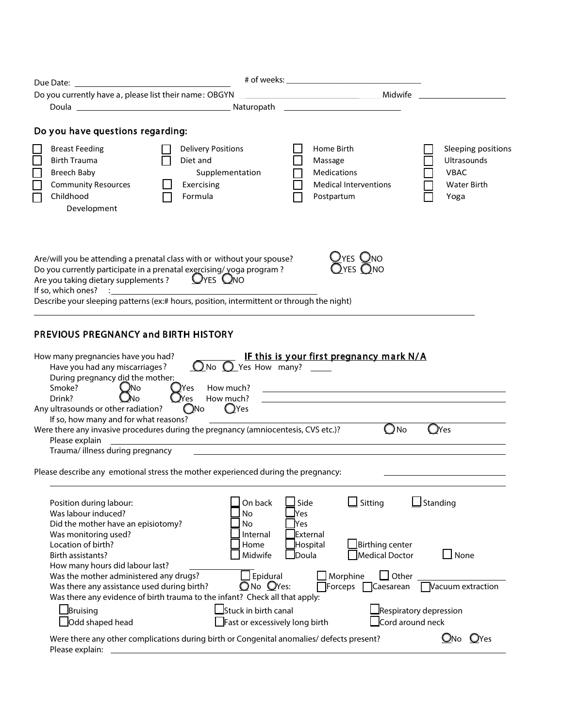| Do you currently have a, please list their name: OBGYN                                                                                                                                                                                                                                                                    |                                                                                                                       | <b>Example 2018</b> Midwife                                                                                         |                                                                                |
|---------------------------------------------------------------------------------------------------------------------------------------------------------------------------------------------------------------------------------------------------------------------------------------------------------------------------|-----------------------------------------------------------------------------------------------------------------------|---------------------------------------------------------------------------------------------------------------------|--------------------------------------------------------------------------------|
|                                                                                                                                                                                                                                                                                                                           |                                                                                                                       | <u> 1989 - Johann Barn, mars eta bainar eta baina eta baina eta baina eta baina eta baina eta baina eta baina e</u> |                                                                                |
| Do you have questions regarding:                                                                                                                                                                                                                                                                                          |                                                                                                                       |                                                                                                                     |                                                                                |
| <b>Breast Feeding</b><br><b>Birth Trauma</b><br>Breech Baby<br><b>Community Resources</b><br>Childhood<br>Development                                                                                                                                                                                                     | <b>Delivery Positions</b><br>Diet and<br>Supplementation<br>Exercising<br>Formula                                     | Home Birth<br>Massage<br>Medications<br><b>Medical Interventions</b><br>Postpartum                                  | Sleeping positions<br>Ultrasounds<br><b>VBAC</b><br><b>Water Birth</b><br>Yoga |
| Are/will you be attending a prenatal class with or without your spouse?<br>Do you currently participate in a prenatal exercising/ yoga program?<br>Are you taking dietary supplements ? $Q$ YES $Q$ NO<br>If so, which ones?<br>Describe your sleeping patterns (ex:# hours, position, intermittent or through the night) |                                                                                                                       | YES ONO                                                                                                             |                                                                                |
| PREVIOUS PREGNANCY and BIRTH HISTORY<br>How many pregnancies have you had?<br>Have you had any miscarriages?                                                                                                                                                                                                              | $\overline{\mathbf{O}}$ No $\overline{\mathbf{O}}$ Yes How many? $\overline{\mathbf{O}}$                              | IF this is your first pregnancy mark N/A                                                                            |                                                                                |
| During pregnancy did the mother:<br>Smoke?<br>JNo.<br><b>U</b> No<br>Drink?<br>Any ultrasounds or other radiation?                                                                                                                                                                                                        | How much?<br>JYes.<br><b>U</b> Yes<br>How much?<br>$Q$ Yes<br>$Q$ No                                                  |                                                                                                                     |                                                                                |
| If so, how many and for what reasons?<br>Were there any invasive procedures during the pregnancy (amniocentesis, CVS etc.)?<br>Please explain<br>Trauma/ illness during pregnancy                                                                                                                                         | <u> 1989 - Johann Harry Harry Harry Harry Harry Harry Harry Harry Harry Harry Harry Harry Harry Harry Harry Harry</u> |                                                                                                                     | $Q$ No<br>$\mathbf{O}$ Yes                                                     |
| Please describe any emotional stress the mother experienced during the pregnancy:                                                                                                                                                                                                                                         |                                                                                                                       |                                                                                                                     |                                                                                |
| Position during labour:<br>Was labour induced?<br>Did the mother have an episiotomy?<br>Was monitoring used?                                                                                                                                                                                                              | On back<br>No<br>No                                                                                                   | $\Box$ Sitting<br>Side<br>Yes<br>Yes                                                                                | $\mathsf{\mathsf{\underline{J}}}$ Standing                                     |
| Location of birth?<br>Birth assistants?                                                                                                                                                                                                                                                                                   | Internal<br>Home<br>Midwife                                                                                           | External<br>Hospital<br>Doula                                                                                       | Birthing center<br>$\Box$ None<br>Medical Doctor                               |
| How many hours did labour last?<br>Was the mother administered any drugs?<br>Was there any assistance used during birth?<br>Was there any evidence of birth trauma to the infant? Check all that apply:                                                                                                                   | $\Box$ Epidural<br>ONo OYes:                                                                                          | Morphine<br>Forceps                                                                                                 | $\Box$ Other<br>Vacuum extraction<br>Caesarean                                 |
| Bruising<br>Odd shaped head                                                                                                                                                                                                                                                                                               | $\sf J$ Stuck in birth canal<br>Fast or excessively long birth                                                        |                                                                                                                     | Respiratory depression<br>Cord around neck                                     |
| Were there any other complications during birth or Congenital anomalies/ defects present?<br>Please explain:                                                                                                                                                                                                              |                                                                                                                       |                                                                                                                     | ONo OYes                                                                       |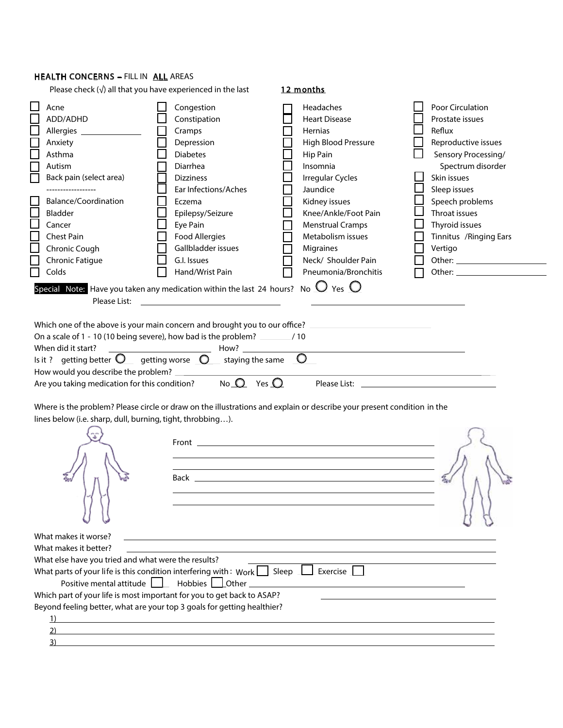### HEALTH CONCERNS - FILL IN ALL AREAS

|                                                                                                                                                                                                                                        | Please check $(\sqrt{})$ all that you have experienced in the last                                                                                                                                                                                                                                                                             | 12 months                                                                                                                                                                                                                                                                               |                                                                                                                                                                                                                                                                                                                                                               |
|----------------------------------------------------------------------------------------------------------------------------------------------------------------------------------------------------------------------------------------|------------------------------------------------------------------------------------------------------------------------------------------------------------------------------------------------------------------------------------------------------------------------------------------------------------------------------------------------|-----------------------------------------------------------------------------------------------------------------------------------------------------------------------------------------------------------------------------------------------------------------------------------------|---------------------------------------------------------------------------------------------------------------------------------------------------------------------------------------------------------------------------------------------------------------------------------------------------------------------------------------------------------------|
| Acne<br>ADD/ADHD<br>Allergies ________________<br>Anxiety<br>Asthma<br>Autism<br>Back pain (select area)<br>------------------<br>Balance/Coordination<br>Bladder<br>Cancer<br>Chest Pain<br>Chronic Cough<br>Chronic Fatigue<br>Colds | Congestion<br>Constipation<br>Cramps<br>Depression<br><b>Diabetes</b><br>Diarrhea<br><b>Dizziness</b><br>Ear Infections/Aches<br>Eczema<br>Epilepsy/Seizure<br>Eye Pain<br><b>Food Allergies</b><br>Gallbladder issues<br>G.I. Issues<br>Hand/Wrist Pain                                                                                       | Headaches<br><b>Heart Disease</b><br>Hernias<br>High Blood Pressure<br>Hip Pain<br>Insomnia<br><b>Irregular Cycles</b><br>Jaundice<br>Kidney issues<br>Knee/Ankle/Foot Pain<br><b>Menstrual Cramps</b><br>Metabolism issues<br>Migraines<br>Neck/ Shoulder Pain<br>Pneumonia/Bronchitis | Poor Circulation<br>Prostate issues<br>Reflux<br>Reproductive issues<br>Sensory Processing/<br>Spectrum disorder<br>Skin issues<br>Sleep issues<br>Speech problems<br>Throat issues<br>Thyroid issues<br>Tinnitus / Ringing Ears<br>Vertigo<br>Other: and the contract of the contract of the contract of the contract of the contract of the contract of the |
|                                                                                                                                                                                                                                        | Special Note: Have you taken any medication within the last 24 hours? No $\Box$ Yes $\bigcirc$                                                                                                                                                                                                                                                 |                                                                                                                                                                                                                                                                                         |                                                                                                                                                                                                                                                                                                                                                               |
| Please List:                                                                                                                                                                                                                           |                                                                                                                                                                                                                                                                                                                                                |                                                                                                                                                                                                                                                                                         |                                                                                                                                                                                                                                                                                                                                                               |
| When did it start?<br>Is it ? getting better $\bigcirc$ getting worse $\bigcirc$<br>How would you describe the problem?<br>lines below (i.e. sharp, dull, burning, tight, throbbing).                                                  | staying the same<br><u> 1999 - Jan Jawa</u><br>Are you taking medication for this condition? No $\Omega$ Yes $\Omega$                                                                                                                                                                                                                          | Which one of the above is your main concern and brought you to our office? _________________________<br>$\bigcirc$<br>Where is the problem? Please circle or draw on the illustrations and explain or describe your present condition in the                                            | Please List: Later and the contract of the contract of the contract of the contract of the contract of the contract of the contract of the contract of the contract of the contract of the contract of the contract of the con                                                                                                                                |
|                                                                                                                                                                                                                                        |                                                                                                                                                                                                                                                                                                                                                | <u> 1989 - Johann Stoff, deutscher Stoffen und der Stoffen und der Stoffen und der Stoffen und der Stoffen und der</u>                                                                                                                                                                  |                                                                                                                                                                                                                                                                                                                                                               |
| What makes it worse?<br>What makes it better?<br>What else have you tried and what were the results?<br>Positive mental attitude    <br>1)<br>3)                                                                                       | What parts of your life is this condition interfering with: Work $\boxed{\phantom{a}}$ Sleep $\phantom{a}\boxed{\phantom{a}}$ Exercise $\phantom{a}\boxed{\phantom{a}}$<br>Hobbies 10ther<br>Which part of your life is most important for you to get back to ASAP?<br>Beyond feeling better, what are your top 3 goals for getting healthier? |                                                                                                                                                                                                                                                                                         |                                                                                                                                                                                                                                                                                                                                                               |

 $\overline{a}$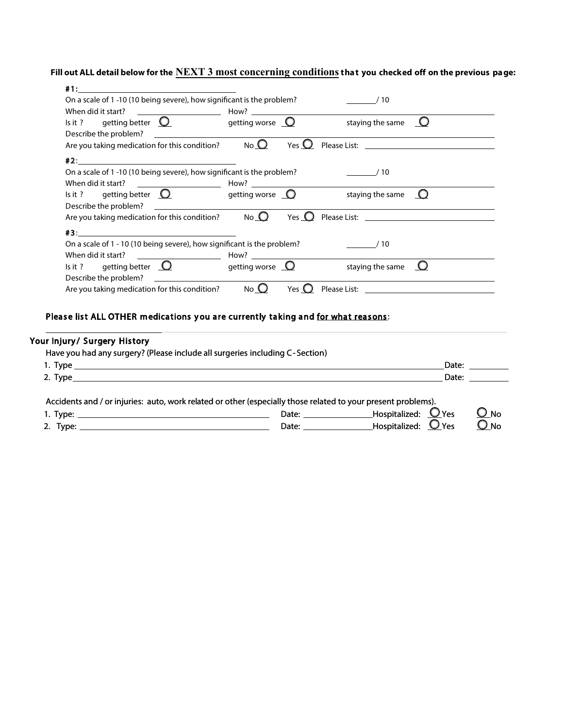**Fill out ALL detail below for the NEXT 3 most concerning conditionsthat you checked off on the previous page:**

| When did it start?                                                              |          |                                             |                                                                                                                                                                                                                                |  |
|---------------------------------------------------------------------------------|----------|---------------------------------------------|--------------------------------------------------------------------------------------------------------------------------------------------------------------------------------------------------------------------------------|--|
| Is it ? getting better $\Omega$ getting worse $\Omega$                          |          |                                             | staying the same $\Box$                                                                                                                                                                                                        |  |
| Describe the problem?<br><u> 1980 - Antonio Alemania, politikar politikar (</u> |          |                                             |                                                                                                                                                                                                                                |  |
| Are you taking medication for this condition?                                   | $No$ $O$ | Yes $\mathbf{\mathbf{\mathbf{\mathsf{U}}}}$ |                                                                                                                                                                                                                                |  |
|                                                                                 |          |                                             |                                                                                                                                                                                                                                |  |
| On a scale of 1 -10 (10 being severe), how significant is the problem?          |          |                                             | /10                                                                                                                                                                                                                            |  |
|                                                                                 |          |                                             |                                                                                                                                                                                                                                |  |
| Is it ? getting better $\Omega$ getting worse $\Omega$                          |          |                                             | staying the same $\bigcirc$                                                                                                                                                                                                    |  |
| Describe the problem?                                                           |          |                                             |                                                                                                                                                                                                                                |  |
| Are you taking medication for this condition? $\bigcirc$ No $\bigcirc$          |          | Yes $\mathbf{O}$                            | Please List: The Company of the Company of the Company of the Company of the Company of the Company of the Company of the Company of the Company of the Company of the Company of the Company of the Company of the Company of |  |
|                                                                                 |          |                                             |                                                                                                                                                                                                                                |  |
| On a scale of 1 - 10 (10 being severe), how significant is the problem?         |          |                                             | $\frac{1}{10}$                                                                                                                                                                                                                 |  |
|                                                                                 |          |                                             |                                                                                                                                                                                                                                |  |
| Is it ? getting better $\Omega$ getting worse $\Omega$                          |          |                                             | staying the same $\Box$                                                                                                                                                                                                        |  |
|                                                                                 |          |                                             |                                                                                                                                                                                                                                |  |
| Describe the problem?                                                           |          |                                             |                                                                                                                                                                                                                                |  |

# Please list ALL OTHER medications you are currently taking and for what reasons:

# Your Injury/ Surgery History

|  |  |  | Have you had any surgery? (Please include all surgeries including C-Section) |
|--|--|--|------------------------------------------------------------------------------|
|  |  |  |                                                                              |

|                                                                                                                                       |                                                                                                                                                                                                                                         |                                                | Date:            |
|---------------------------------------------------------------------------------------------------------------------------------------|-----------------------------------------------------------------------------------------------------------------------------------------------------------------------------------------------------------------------------------------|------------------------------------------------|------------------|
| 2. Type $\rule{1em}{0.15mm}$                                                                                                          |                                                                                                                                                                                                                                         | Date:                                          |                  |
| Accidents and / or injuries: auto, work related or other (especially those related to your present problems).<br>1. Type:<br>2. Type: | Date: the contract of the contract of the contract of the contract of the contract of the contract of the contract of the contract of the contract of the contract of the contract of the contract of the contract of the cont<br>Date: | Hospitalized: $Q$ Yes<br>Hospitalized: $Q$ Yes | O no<br>$O_{NQ}$ |